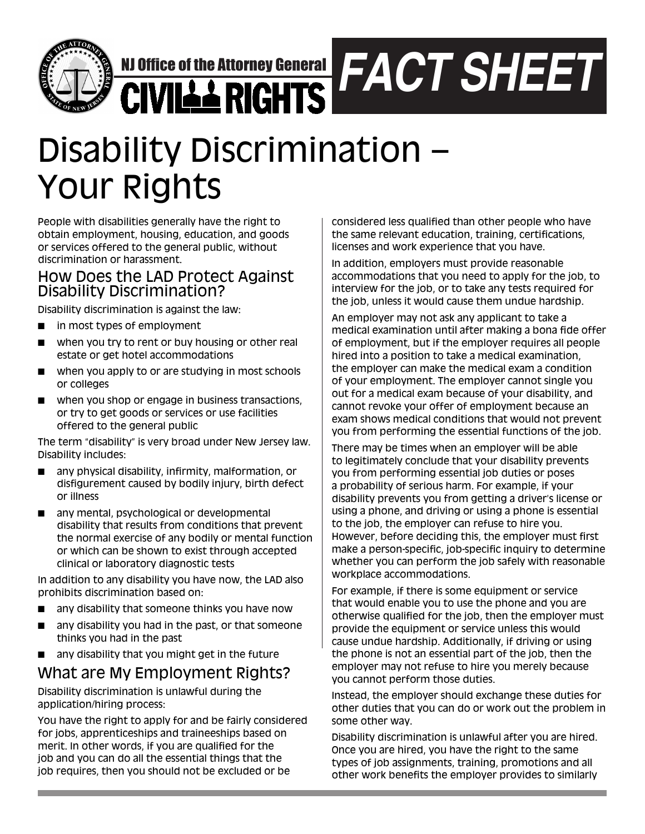

NJ Office of the Attorney General

*FACT SHEET*

# Disability Discrimination – Your Rights

People with disabilities generally have the right to obtain employment, housing, education, and goods or services offered to the general public, without discrimination or harassment.

## How Does the LAD Protect Against Disability Discrimination?

Disability discrimination is against the law:

- in most types of employment
- when you try to rent or buy housing or other real estate or get hotel accommodations
- when you apply to or are studying in most schools or colleges
- when you shop or engage in business transactions, or try to get goods or services or use facilities offered to the general public

The term "disability" is very broad under New Jersey law. Disability includes:

- any physical disability, infirmity, malformation, or disfigurement caused by bodily injury, birth defect or illness
- **n** any mental, psychological or developmental disability that results from conditions that prevent the normal exercise of any bodily or mental function or which can be shown to exist through accepted clinical or laboratory diagnostic tests

In addition to any disability you have now, the LAD also prohibits discrimination based on:

- **n** any disability that someone thinks you have now
- any disability you had in the past, or that someone thinks you had in the past
- **n** any disability that you might get in the future

# What are My Employment Rights?

Disability discrimination is unlawful during the application/hiring process:

You have the right to apply for and be fairly considered for jobs, apprenticeships and traineeships based on merit. In other words, if you are qualified for the job and you can do all the essential things that the job requires, then you should not be excluded or be

considered less qualified than other people who have the same relevant education, training, certifications, licenses and work experience that you have.

In addition, employers must provide reasonable accommodations that you need to apply for the job, to interview for the job, or to take any tests required for the job, unless it would cause them undue hardship.

An employer may not ask any applicant to take a medical examination until after making a bona fide offer of employment, but if the employer requires all people hired into a position to take a medical examination, the employer can make the medical exam a condition of your employment. The employer cannot single you out for a medical exam because of your disability, and cannot revoke your offer of employment because an exam shows medical conditions that would not prevent you from performing the essential functions of the job.

There may be times when an employer will be able to legitimately conclude that your disability prevents you from performing essential job duties or poses a probability of serious harm. For example, if your disability prevents you from getting a driver's license or using a phone, and driving or using a phone is essential to the job, the employer can refuse to hire you. However, before deciding this, the employer must first make a person-specific, job-specific inquiry to determine whether you can perform the job safely with reasonable workplace accommodations.

For example, if there is some equipment or service that would enable you to use the phone and you are otherwise qualified for the job, then the employer must provide the equipment or service unless this would cause undue hardship. Additionally, if driving or using the phone is not an essential part of the job, then the employer may not refuse to hire you merely because you cannot perform those duties.

Instead, the employer should exchange these duties for other duties that you can do or work out the problem in some other way.

Disability discrimination is unlawful after you are hired. Once you are hired, you have the right to the same types of job assignments, training, promotions and all other work benefits the employer provides to similarly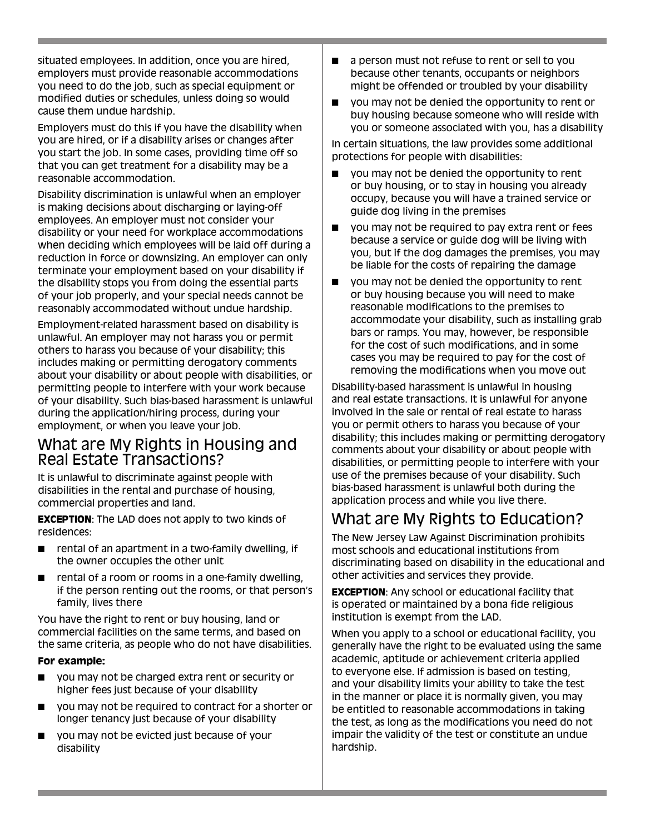situated employees. In addition, once you are hired, employers must provide reasonable accommodations you need to do the job, such as special equipment or modified duties or schedules, unless doing so would cause them undue hardship.

Employers must do this if you have the disability when you are hired, or if a disability arises or changes after you start the job. In some cases, providing time off so that you can get treatment for a disability may be a reasonable accommodation.

Disability discrimination is unlawful when an employer is making decisions about discharging or laying-off employees. An employer must not consider your disability or your need for workplace accommodations when deciding which employees will be laid off during a reduction in force or downsizing. An employer can only terminate your employment based on your disability if the disability stops you from doing the essential parts of your job properly, and your special needs cannot be reasonably accommodated without undue hardship.

Employment-related harassment based on disability is unlawful. An employer may not harass you or permit others to harass you because of your disability; this includes making or permitting derogatory comments about your disability or about people with disabilities, or permitting people to interfere with your work because of your disability. Such bias-based harassment is unlawful during the application/hiring process, during your employment, or when you leave your job.

## What are My Rights in Housing and Real Estate Transactions?

It is unlawful to discriminate against people with disabilities in the rental and purchase of housing, commercial properties and land.

**EXCEPTION:** The LAD does not apply to two kinds of residences:

- $\blacksquare$  rental of an apartment in a two-family dwelling, if the owner occupies the other unit
- rental of a room or rooms in a one-family dwelling, if the person renting out the rooms, or that person's family, lives there

You have the right to rent or buy housing, land or commercial facilities on the same terms, and based on the same criteria, as people who do not have disabilities.

#### **For example:**

- you may not be charged extra rent or security or higher fees just because of your disability
- you may not be required to contract for a shorter or longer tenancy just because of your disability
- you may not be evicted just because of your disability
- **EXECUTE:** a person must not refuse to rent or sell to you because other tenants, occupants or neighbors might be offended or troubled by your disability
- you may not be denied the opportunity to rent or buy housing because someone who will reside with you or someone associated with you, has a disability

In certain situations, the law provides some additional protections for people with disabilities:

- you may not be denied the opportunity to rent or buy housing, or to stay in housing you already occupy, because you will have a trained service or guide dog living in the premises
- you may not be required to pay extra rent or fees because a service or guide dog will be living with you, but if the dog damages the premises, you may be liable for the costs of repairing the damage
- you may not be denied the opportunity to rent or buy housing because you will need to make reasonable modifications to the premises to accommodate your disability, such as installing grab bars or ramps. You may, however, be responsible for the cost of such modifications, and in some cases you may be required to pay for the cost of removing the modifications when you move out

Disability-based harassment is unlawful in housing and real estate transactions. It is unlawful for anyone involved in the sale or rental of real estate to harass you or permit others to harass you because of your disability; this includes making or permitting derogatory comments about your disability or about people with disabilities, or permitting people to interfere with your use of the premises because of your disability. Such bias-based harassment is unlawful both during the application process and while you live there.

# What are My Rights to Education?

The New Jersey Law Against Discrimination prohibits most schools and educational institutions from discriminating based on disability in the educational and other activities and services they provide.

**EXCEPTION**: Any school or educational facility that is operated or maintained by a bona fide religious institution is exempt from the LAD.

When you apply to a school or educational facility, you generally have the right to be evaluated using the same academic, aptitude or achievement criteria applied to everyone else. If admission is based on testing, and your disability limits your ability to take the test in the manner or place it is normally given, you may be entitled to reasonable accommodations in taking the test, as long as the modifications you need do not impair the validity of the test or constitute an undue hardship.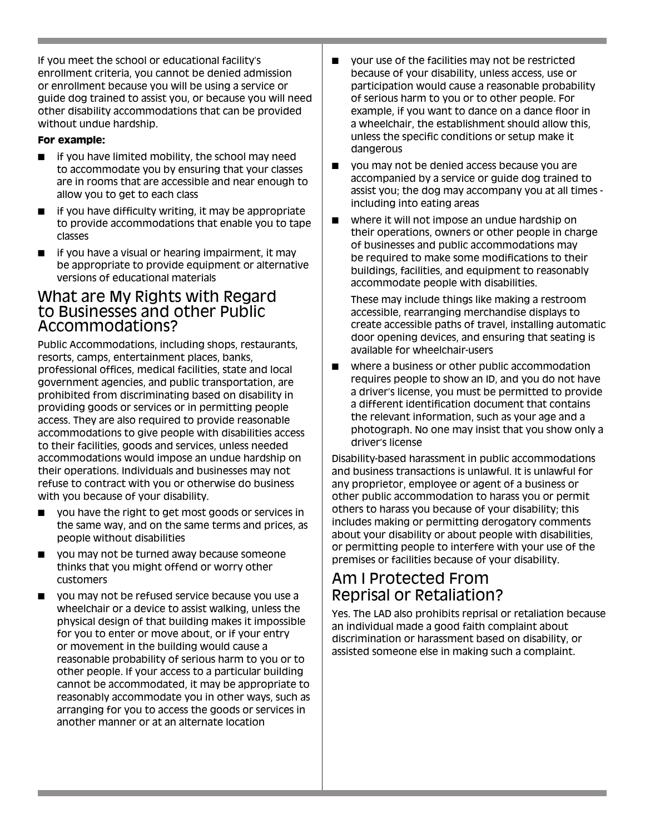If you meet the school or educational facility's enrollment criteria, you cannot be denied admission or enrollment because you will be using a service or guide dog trained to assist you, or because you will need other disability accommodations that can be provided without undue hardship.

#### **For example:**

- if you have limited mobility, the school may need to accommodate you by ensuring that your classes are in rooms that are accessible and near enough to allow you to get to each class
- if you have difficulty writing, it may be appropriate to provide accommodations that enable you to tape classes
- if you have a visual or hearing impairment, it may be appropriate to provide equipment or alternative versions of educational materials

## What are My Rights with Regard to Businesses and other Public Accommodations?

Public Accommodations, including shops, restaurants, resorts, camps, entertainment places, banks, professional offices, medical facilities, state and local government agencies, and public transportation, are prohibited from discriminating based on disability in providing goods or services or in permitting people access. They are also required to provide reasonable accommodations to give people with disabilities access to their facilities, goods and services, unless needed accommodations would impose an undue hardship on their operations. Individuals and businesses may not refuse to contract with you or otherwise do business with you because of your disability.

- you have the right to get most goods or services in the same way, and on the same terms and prices, as people without disabilities
- you may not be turned away because someone thinks that you might offend or worry other customers
- you may not be refused service because you use a wheelchair or a device to assist walking, unless the physical design of that building makes it impossible for you to enter or move about, or if your entry or movement in the building would cause a reasonable probability of serious harm to you or to other people. If your access to a particular building cannot be accommodated, it may be appropriate to reasonably accommodate you in other ways, such as arranging for you to access the goods or services in another manner or at an alternate location
- your use of the facilities may not be restricted because of your disability, unless access, use or participation would cause a reasonable probability of serious harm to you or to other people. For example, if you want to dance on a dance floor in a wheelchair, the establishment should allow this, unless the specific conditions or setup make it dangerous
- vou may not be denied access because you are accompanied by a service or guide dog trained to assist you; the dog may accompany you at all times including into eating areas
- where it will not impose an undue hardship on their operations, owners or other people in charge of businesses and public accommodations may be required to make some modifications to their buildings, facilities, and equipment to reasonably accommodate people with disabilities.

These may include things like making a restroom accessible, rearranging merchandise displays to create accessible paths of travel, installing automatic door opening devices, and ensuring that seating is available for wheelchair-users

■ where a business or other public accommodation requires people to show an ID, and you do not have a driver's license, you must be permitted to provide a different identification document that contains the relevant information, such as your age and a photograph. No one may insist that you show only a driver's license

Disability-based harassment in public accommodations and business transactions is unlawful. It is unlawful for any proprietor, employee or agent of a business or other public accommodation to harass you or permit others to harass you because of your disability; this includes making or permitting derogatory comments about your disability or about people with disabilities, or permitting people to interfere with your use of the premises or facilities because of your disability.

## Am I Protected From Reprisal or Retaliation?

Yes. The LAD also prohibits reprisal or retaliation because an individual made a good faith complaint about discrimination or harassment based on disability, or assisted someone else in making such a complaint.